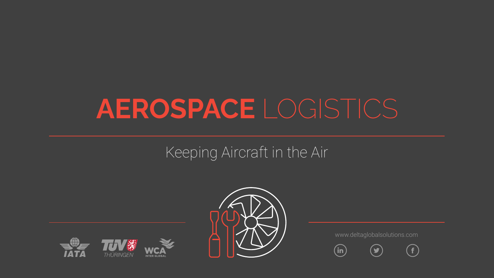# **AEROSPACE** LOGISTICS

## Keeping Aircraft in the Air







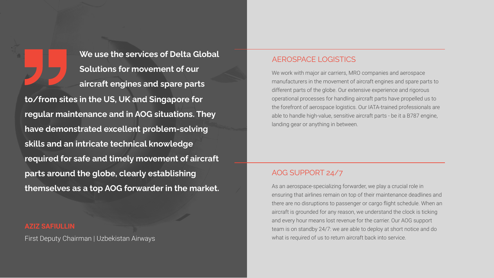**We use the services of Delta Global Solutions for movement of our aircraft engines and spare parts to/from sites in the US, UK and Singapore for regular maintenance and in AOG situations. They have demonstrated excellent problem-solving skills and an intricate technical knowledge required for safe and timely movement of aircraft parts around the globe, clearly establishing themselves as a top AOG forwarder in the market.**

First Deputy Chairman | Uzbekistan Airways

#### AEROSPACE LOGISTICS

We work with major air carriers, MRO companies and aerospace manufacturers in the movement of aircraft engines and spare parts to different parts of the globe. Our extensive experience and rigorous operational processes for handling aircraft parts have propelled us to the forefront of aerospace logistics. Our IATA-trained professionals are able to handle high-value, sensitive aircraft parts - be it a B787 engine, landing gear or anything in between.

#### AOG SUPPORT 24/7

As an aerospace-specializing forwarder, we play a crucial role in ensuring that airlines remain on top of their maintenance deadlines and there are no disruptions to passenger or cargo flight schedule. When an aircraft is grounded for any reason, we understand the clock is ticking and every hour means lost revenue for the carrier. Our AOG support team is on standby 24/7: we are able to deploy at short notice and do what is required of us to return aircraft back into service.